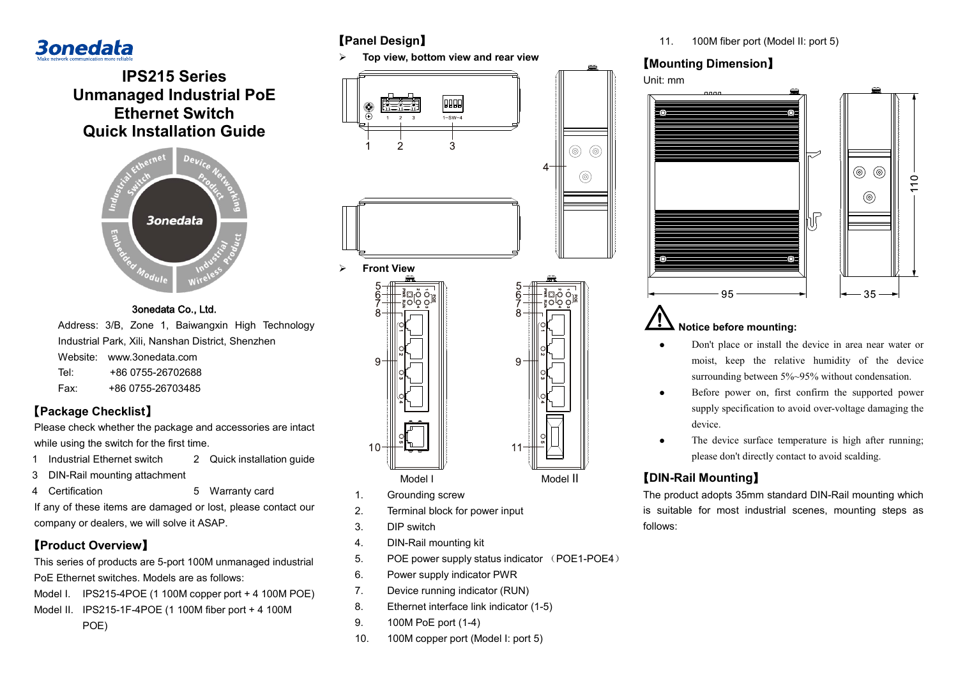# **3onedata**

**IPS215 Series Unmanaged Industrial PoE Ethernet Switch Quick Installation Guide**



#### 3onedata Co., Ltd.

Address: 3/B, Zone 1, Baiwangxin High Technology Industrial Park, Xili, Nanshan District, Shenzhen

- Website: www.3onedata.com Tel: +86 0755-26702688
- Fax: +86 0755-26703485

#### **【Package Checklist】**

Please check whether the package and accessories are intact while using the switch for the first time.

- 1 Industrial Ethernet switch 2 Quick installation guide
- 3 DIN-Rail mounting attachment
- 4 Certification 5 Warranty card

If any of these items are damaged or lost, please contact our company or dealers, we will solve it ASAP.

#### 【**Product Overview**】

This series of products are 5-port 100M unmanaged industrial PoE Ethernet switches. Models are as follows:

Model I. IPS215-4POE (1 100M copper port + 4 100M POE)

Model II. IPS215-1F-4POE (1 100M fiber port + 4 100M

POE)

### 【**Panel Design**】

**Top view, bottom view and rear view**



- q Model I Model II
- 1. Grounding screw
- 2. Terminal block for power input
- 3. DIP switch
- 4. DIN-Rail mounting kit
- 5. POE power supply status indicator (POE1-POE4)
- 6. Power supply indicator PWR
- 7. Device running indicator (RUN)
- 8. Ethernet interface link indicator (1-5)
- 9. 100M PoE port (1-4)
- 10. 100M copper port (Model I: port 5)

11. 100M fiber port (Model II: port 5)

### 【**Mounting Dimension**】



#### **Notice before mounting:**

- Don't place or install the device in area near water or moist, keep the relative humidity of the device surrounding between 5%~95% without condensation.
- Before power on, first confirm the supported power supply specification to avoid over-voltage damaging the device.
- The device surface temperature is high after running; please don't directly contact to avoid scalding.

### 【**DIN-Rail Mounting**】

The product adopts 35mm standard DIN-Rail mounting which is suitable for most industrial scenes, mounting steps as follows: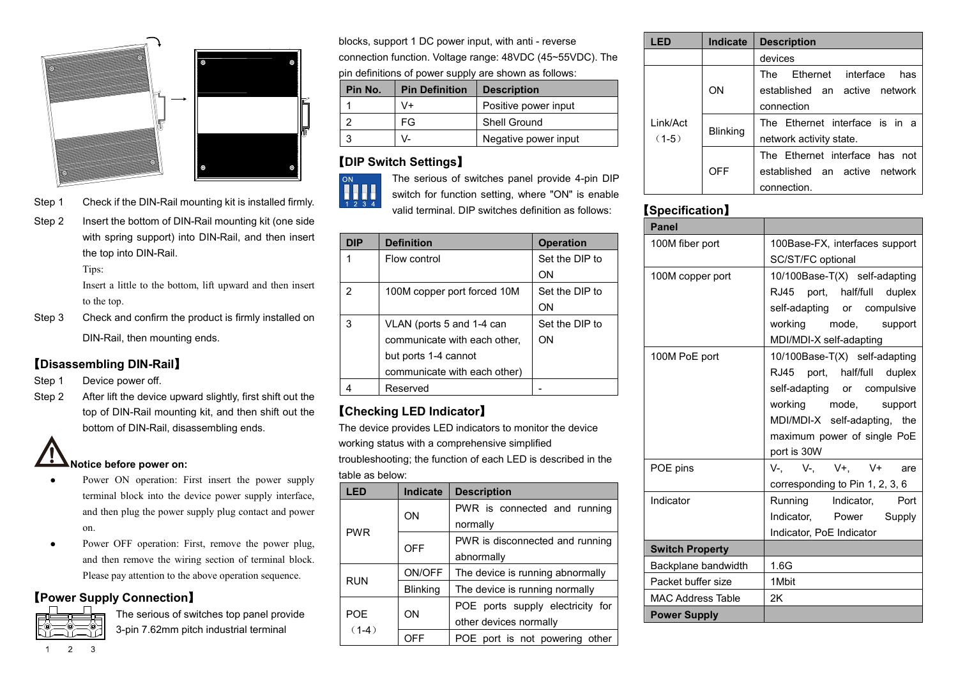



- Step 1 Check if the DIN-Rail mounting kit is installed firmly.
- Step 2 Insert the bottom of DIN-Rail mounting kit (one side with spring support) into DIN-Rail, and then insert the top into DIN-Rail.

Tips:

Insert a little to the bottom, lift upward and then insert to the top.

Step 3 Check and confirm the product is firmly installed on DIN-Rail, then mounting ends.

#### 【**Disassembling DIN-Rail**】

- Step 1 Device power off.
- Step 2 After lift the device upward slightly, first shift out the top of DIN-Rail mounting kit, and then shift out the bottom of DIN-Rail, disassembling ends.

## **Notice before power on:**

- Power ON operation: First insert the power supply terminal block into the device power supply interface, and then plug the power supply plug contact and power on.
- Power OFF operation: First, remove the power plug, and then remove the wiring section of terminal block. Please pay attention to the above operation sequence.

#### 【**Power Supply Connection**】



The serious of switches top panel provide 3-pin 7.62mm pitch industrial terminal

blocks, support 1 DC power input, with anti - reverse connection function. Voltage range: 48VDC (45~55VDC). The pin definitions of power supply are shown as follows:

| Pin No. | <b>Pin Definition</b> | <b>Description</b>   |
|---------|-----------------------|----------------------|
|         | V+                    | Positive power input |
|         | FG                    | Shell Ground         |
|         |                       | Negative power input |

#### 【**DIP Switch Settings**】



The serious of switches panel provide 4-pin DIP switch for function setting, where "ON" is enable valid terminal. DIP switches definition as follows:

| DIP | <b>Definition</b>            | <b>Operation</b> |
|-----|------------------------------|------------------|
|     | Flow control                 | Set the DIP to   |
|     |                              | ON               |
| 2   | 100M copper port forced 10M  | Set the DIP to   |
|     |                              | ON               |
| 3   | VLAN (ports 5 and 1-4 can    | Set the DIP to   |
|     | communicate with each other, | ΩN               |
|     | but ports 1-4 cannot         |                  |
|     | communicate with each other) |                  |
|     | Reserved                     |                  |

#### 【**Checking LED Indicator**】

The device provides LED indicators to monitor the device working status with a comprehensive simplified troubleshooting; the function of each LED is described in the table as below:

| LED            | <b>Indicate</b> | <b>Description</b>               |  |
|----------------|-----------------|----------------------------------|--|
| <b>PWR</b>     | ON              | PWR is connected and running     |  |
|                |                 | normally                         |  |
|                | OFF             | PWR is disconnected and running  |  |
|                |                 | abnormally                       |  |
| <b>RUN</b>     | ON/OFF          | The device is running abnormally |  |
|                | <b>Blinking</b> | The device is running normally   |  |
| POF<br>$(1-4)$ | ON              | POE ports supply electricity for |  |
|                |                 | other devices normally           |  |
|                | OFF             | POE port is not powering other   |  |

| LED                 | Indicate        | <b>Description</b>                      |
|---------------------|-----------------|-----------------------------------------|
|                     |                 | devices                                 |
| Link/Act<br>$(1-5)$ | ON              | Ethernet interface<br>has<br><b>The</b> |
|                     |                 | established an active network           |
|                     |                 | connection                              |
|                     | <b>Blinking</b> | The Ethernet interface is in a          |
|                     |                 | network activity state.                 |
|                     | <b>OFF</b>      | The Ethernet interface has not          |
|                     |                 | established an active network           |
|                     |                 | connection.                             |

### 【**Specification**】

| <b>Panel</b>             |                                 |
|--------------------------|---------------------------------|
| 100M fiber port          | 100Base-FX, interfaces support  |
|                          | SC/ST/FC optional               |
| 100M copper port         | 10/100Base-T(X) self-adapting   |
|                          | RJ45 port, half/full duplex     |
|                          | self-adapting or compulsive     |
|                          | working mode, support           |
|                          | MDI/MDI-X self-adapting         |
| 100M PoE port            | 10/100Base-T(X) self-adapting   |
|                          | RJ45 port, half/full duplex     |
|                          | self-adapting or compulsive     |
|                          | working mode, support           |
|                          | MDI/MDI-X self-adapting, the    |
|                          | maximum power of single PoE     |
|                          | port is 30W                     |
| POE pins                 | V-, V-, V+, V+<br>are           |
|                          | corresponding to Pin 1, 2, 3, 6 |
| Indicator                | Running Indicator, Port         |
|                          | Indicator, Power Supply         |
|                          | Indicator, PoE Indicator        |
| <b>Switch Property</b>   |                                 |
| Backplane bandwidth      | 1.6G                            |
| Packet buffer size       | 1Mbit                           |
| <b>MAC Address Table</b> | 2K                              |
| <b>Power Supply</b>      |                                 |

 $\overline{2}$  $\mathcal{R}$  $\overline{1}$